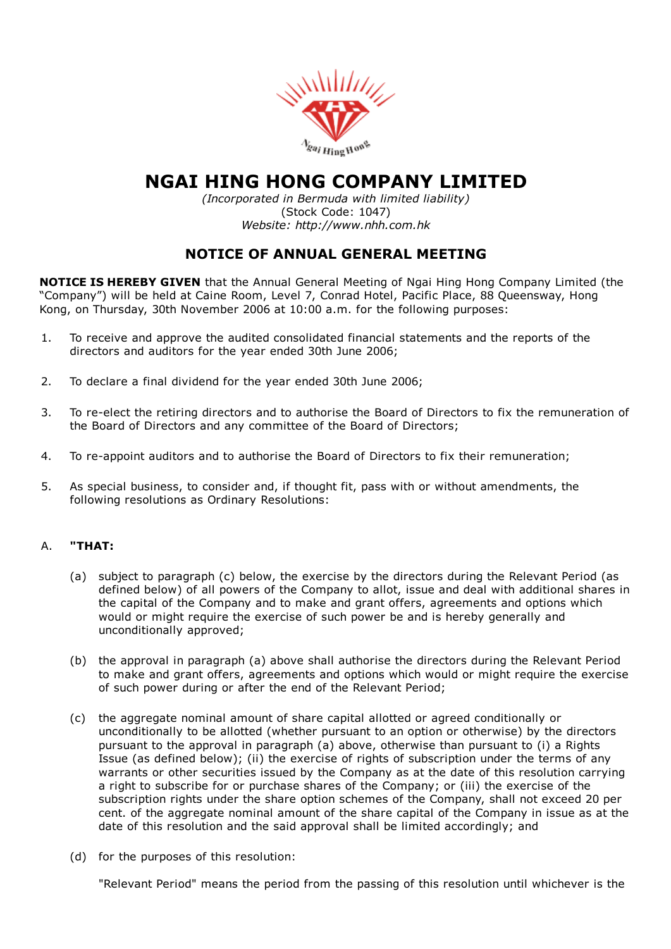

# NGAI HING HONG COMPANY LIMITED

*(Incorporated in Bermuda with limited liability)* (Stock Code: 1047) *Website: http://www.nhh.com.hk*

# NOTICE OF ANNUAL GENERAL MEETING

NOTICE IS HEREBY GIVEN that the Annual General Meeting of Ngai Hing Hong Company Limited (the "Company") will be held at Caine Room, Level 7, Conrad Hotel, Pacific Place, 88 Queensway, Hong Kong, on Thursday, 30th November 2006 at 10:00 a.m. for the following purposes:

- 1. To receive and approve the audited consolidated financial statements and the reports of the directors and auditors for the year ended 30th June 2006;
- 2. To declare a final dividend for the year ended 30th June 2006;
- 3. To re-elect the retiring directors and to authorise the Board of Directors to fix the remuneration of the Board of Directors and any committee of the Board of Directors;
- 4. To re-appoint auditors and to authorise the Board of Directors to fix their remuneration;
- 5. As special business, to consider and, if thought fit, pass with or without amendments, the following resolutions as Ordinary Resolutions:

## A. "THAT:

- (a) subject to paragraph (c) below, the exercise by the directors during the Relevant Period (as defined below) of all powers of the Company to allot, issue and deal with additional shares in the capital of the Company and to make and grant offers, agreements and options which would or might require the exercise of such power be and is hereby generally and unconditionally approved;
- (b) the approval in paragraph (a) above shall authorise the directors during the Relevant Period to make and grant offers, agreements and options which would or might require the exercise of such power during or after the end of the Relevant Period;
- (c) the aggregate nominal amount of share capital allotted or agreed conditionally or unconditionally to be allotted (whether pursuant to an option or otherwise) by the directors pursuant to the approval in paragraph (a) above, otherwise than pursuant to (i) a Rights Issue (as defined below); (ii) the exercise of rights of subscription under the terms of any warrants or other securities issued by the Company as at the date of this resolution carrying a right to subscribe for or purchase shares of the Company; or (iii) the exercise of the subscription rights under the share option schemes of the Company, shall not exceed 20 per cent. of the aggregate nominal amount of the share capital of the Company in issue as at the date of this resolution and the said approval shall be limited accordingly; and
- (d) for the purposes of this resolution:

"Relevant Period" means the period from the passing of this resolution until whichever is the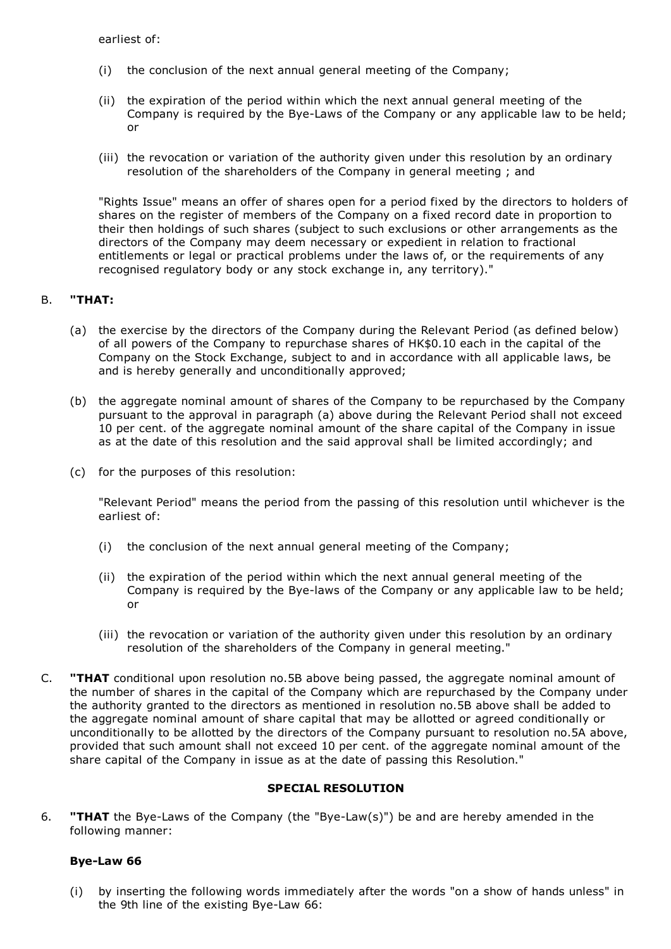earliest of:

- (i) the conclusion of the next annual general meeting of the Company;
- (ii) the expiration of the period within which the next annual general meeting of the Company is required by the Bye-Laws of the Company or any applicable law to be held; or
- (iii) the revocation or variation of the authority given under this resolution by an ordinary resolution of the shareholders of the Company in general meeting ; and

"Rights Issue" means an offer of shares open for a period fixed by the directors to holders of shares on the register of members of the Company on a fixed record date in proportion to their then holdings of such shares (subject to such exclusions or other arrangements as the directors of the Company may deem necessary or expedient in relation to fractional entitlements or legal or practical problems under the laws of, or the requirements of any recognised regulatory body or any stock exchange in, any territory)."

## B. "THAT:

- (a) the exercise by the directors of the Company during the Relevant Period (as defined below) of all powers of the Company to repurchase shares of HK\$0.10 each in the capital of the Company on the Stock Exchange, subject to and in accordance with all applicable laws, be and is hereby generally and unconditionally approved;
- (b) the aggregate nominal amount of shares of the Company to be repurchased by the Company pursuant to the approval in paragraph (a) above during the Relevant Period shall not exceed 10 per cent. of the aggregate nominal amount of the share capital of the Company in issue as at the date of this resolution and the said approval shall be limited accordingly; and
- (c) for the purposes of this resolution:

"Relevant Period" means the period from the passing of this resolution until whichever is the earliest of:

- (i) the conclusion of the next annual general meeting of the Company;
- (ii) the expiration of the period within which the next annual general meeting of the Company is required by the Bye-laws of the Company or any applicable law to be held; or
- (iii) the revocation or variation of the authority given under this resolution by an ordinary resolution of the shareholders of the Company in general meeting."
- C. "THAT conditional upon resolution no.5B above being passed, the aggregate nominal amount of the number of shares in the capital of the Company which are repurchased by the Company under the authority granted to the directors as mentioned in resolution no.5B above shall be added to the aggregate nominal amount of share capital that may be allotted or agreed conditionally or unconditionally to be allotted by the directors of the Company pursuant to resolution no.5A above, provided that such amount shall not exceed 10 per cent. of the aggregate nominal amount of the share capital of the Company in issue as at the date of passing this Resolution."

#### SPECIAL RESOLUTION

6. **"THAT** the Bye-Laws of the Company (the "Bye-Law(s)") be and are hereby amended in the following manner:

#### Bye-Law 66

(i) by inserting the following words immediately after the words "on a show of hands unless" in the 9th line of the existing Bye-Law 66: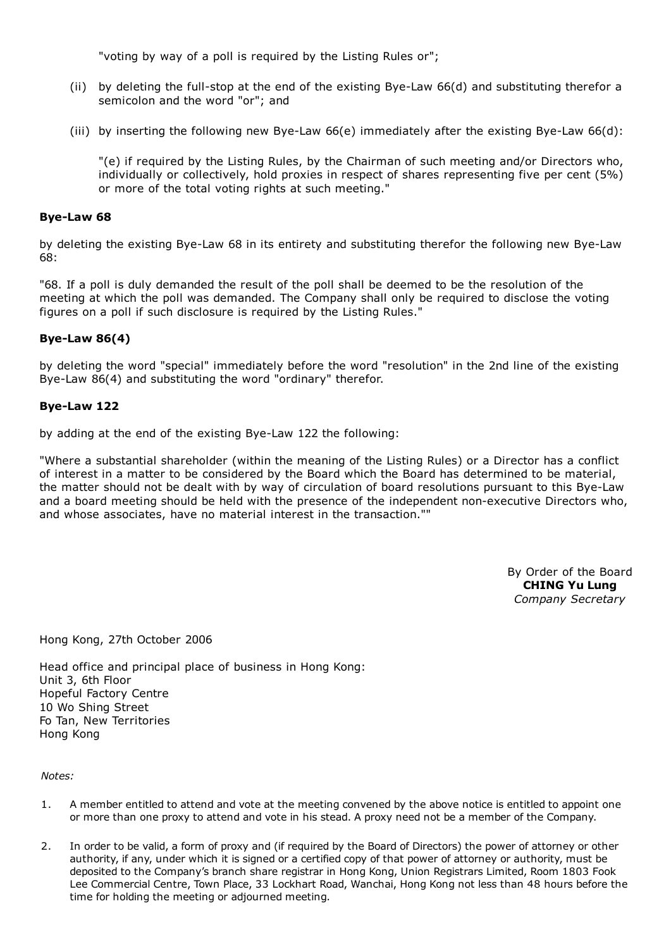"voting by way of a poll is required by the Listing Rules or";

- (ii) by deleting the full-stop at the end of the existing Bye-Law  $66(d)$  and substituting therefor a semicolon and the word "or"; and
- (iii) by inserting the following new Bye-Law  $66(e)$  immediately after the existing Bye-Law  $66(d)$ :

"(e) if required by the Listing Rules, by the Chairman of such meeting and/or Directors who, individually or collectively, hold proxies in respect of shares representing five per cent (5%) or more of the total voting rights at such meeting."

#### Bye-Law 68

by deleting the existing Bye-Law 68 in its entirety and substituting therefor the following new Bye-Law 68:

"68. If a poll is duly demanded the result of the poll shall be deemed to be the resolution of the meeting at which the poll was demanded. The Company shall only be required to disclose the voting figures on a poll if such disclosure is required by the Listing Rules."

#### Bye-Law  $86(4)$

by deleting the word "special" immediately before the word "resolution" in the 2nd line of the existing Bye-Law 86(4) and substituting the word "ordinary" therefor.

#### Bye-Law 122

by adding at the end of the existing Bye-Law 122 the following:

"Where a substantial shareholder (within the meaning of the Listing Rules) or a Director has a conflict of interest in a matter to be considered by the Board which the Board has determined to be material, the matter should not be dealt with by way of circulation of board resolutions pursuant to this Bye-Law and a board meeting should be held with the presence of the independent non-executive Directors who, and whose associates, have no material interest in the transaction.""

> By Order of the Board CHING Yu Lung *Company Secretary*

Hong Kong, 27th October 2006

Head office and principal place of business in Hong Kong: Unit 3, 6th Floor Hopeful Factory Centre 10 Wo Shing Street Fo Tan, New Territories Hong Kong

*Notes:*

- 1. A member entitled to attend and vote at the meeting convened by the above notice is entitled to appoint one or more than one proxy to attend and vote in his stead. A proxy need not be a member of the Company.
- 2. In order to be valid, a form of proxy and (if required by the Board of Directors) the power of attorney or other authority, if any, under which it is signed or a certified copy of that power of attorney or authority, must be deposited to the Company's branch share registrar in Hong Kong, Union Registrars Limited, Room 1803 Fook Lee Commercial Centre, Town Place, 33 Lockhart Road, Wanchai, Hong Kong not less than 48 hours before the time for holding the meeting or adjourned meeting.